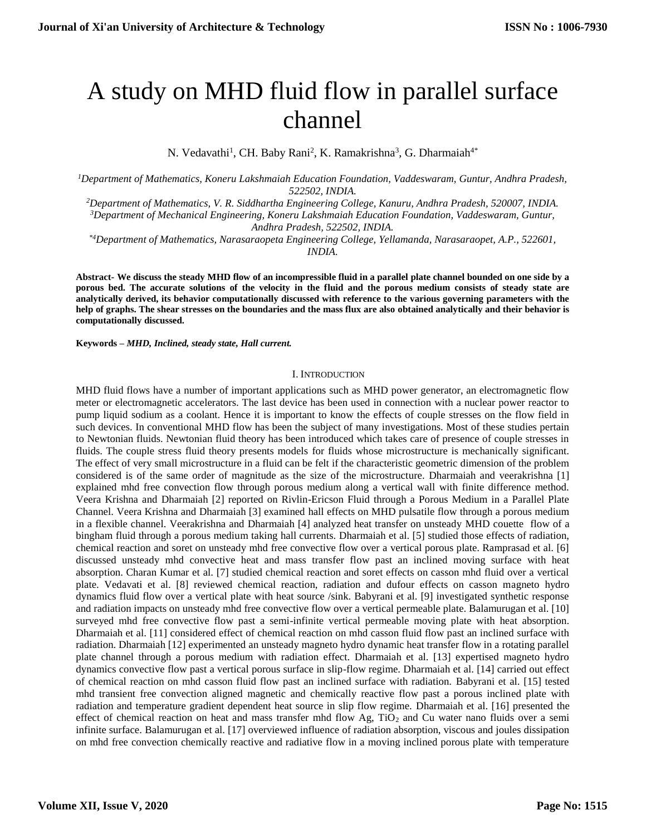# A study on MHD fluid flow in parallel surface channel

N. Vedavathi<sup>1</sup>, CH. Baby Rani<sup>2</sup>, K. Ramakrishna<sup>3</sup>, G. Dharmaiah<sup>4\*</sup>

*<sup>1</sup>Department of Mathematics, Koneru Lakshmaiah Education Foundation, Vaddeswaram, Guntur, Andhra Pradesh, 522502, INDIA.*

*<sup>2</sup>Department of Mathematics, V. R. Siddhartha Engineering College, Kanuru, Andhra Pradesh, 520007, INDIA.*

*<sup>3</sup>Department of Mechanical Engineering, Koneru Lakshmaiah Education Foundation, Vaddeswaram, Guntur, Andhra Pradesh, 522502, INDIA.*

*\*4Department of Mathematics, Narasaraopeta Engineering College, Yellamanda, Narasaraopet, A.P., 522601, INDIA.*

**Abstract- We discuss the steady MHD flow of an incompressible fluid in a parallel plate channel bounded on one side by a porous bed. The accurate solutions of the velocity in the fluid and the porous medium consists of steady state are analytically derived, its behavior computationally discussed with reference to the various governing parameters with the help of graphs. The shear stresses on the boundaries and the mass flux are also obtained analytically and their behavior is computationally discussed.**

**Keywords –** *MHD, Inclined, steady state, Hall current.*

### I. INTRODUCTION

MHD fluid flows have a number of important applications such as MHD power generator, an electromagnetic flow meter or electromagnetic accelerators. The last device has been used in connection with a nuclear power reactor to pump liquid sodium as a coolant. Hence it is important to know the effects of couple stresses on the flow field in such devices. In conventional MHD flow has been the subject of many investigations. Most of these studies pertain to Newtonian fluids. Newtonian fluid theory has been introduced which takes care of presence of couple stresses in fluids. The couple stress fluid theory presents models for fluids whose microstructure is mechanically significant. The effect of very small microstructure in a fluid can be felt if the characteristic geometric dimension of the problem considered is of the same order of magnitude as the size of the microstructure. Dharmaiah and veerakrishna [1] explained mhd free convection flow through porous medium along a vertical wall with finite difference method. Veera Krishna and Dharmaiah [2] reported on Rivlin-Ericson Fluid through a Porous Medium in a Parallel Plate Channel. Veera Krishna and Dharmaiah [3] examined hall effects on MHD pulsatile flow through a porous medium in a flexible channel. Veerakrishna and Dharmaiah [4] analyzed heat transfer on unsteady MHD couette flow of a bingham fluid through a porous medium taking hall currents. Dharmaiah et al. [5] studied those effects of radiation, chemical reaction and soret on unsteady mhd free convective flow over a vertical porous plate. Ramprasad et al. [6] discussed unsteady mhd convective heat and mass transfer flow past an inclined moving surface with heat absorption. Charan Kumar et al. [7] studied chemical reaction and soret effects on casson mhd fluid over a vertical plate. Vedavati et al. [8] reviewed chemical reaction, radiation and dufour effects on casson magneto hydro dynamics fluid flow over a vertical plate with heat source /sink. Babyrani et al. [9] investigated synthetic response and radiation impacts on unsteady mhd free convective flow over a vertical permeable plate. Balamurugan et al. [10] surveyed mhd free convective flow past a semi-infinite vertical permeable moving plate with heat absorption. Dharmaiah et al. [11] considered effect of chemical reaction on mhd casson fluid flow past an inclined surface with radiation. Dharmaiah [12] experimented an unsteady magneto hydro dynamic heat transfer flow in a rotating parallel plate channel through a porous medium with radiation effect. Dharmaiah et al. [13] expertised magneto hydro dynamics convective flow past a vertical porous surface in slip-flow regime. Dharmaiah et al. [14] carried out effect of chemical reaction on mhd casson fluid flow past an inclined surface with radiation. Babyrani et al. [15] tested mhd transient free convection aligned magnetic and chemically reactive flow past a porous inclined plate with radiation and temperature gradient dependent heat source in slip flow regime. Dharmaiah et al. [16] presented the effect of chemical reaction on heat and mass transfer mhd flow Ag,  $TiO<sub>2</sub>$  and Cu water nano fluids over a semi infinite surface. Balamurugan et al. [17] overviewed influence of radiation absorption, viscous and joules dissipation on mhd free convection chemically reactive and radiative flow in a moving inclined porous plate with temperature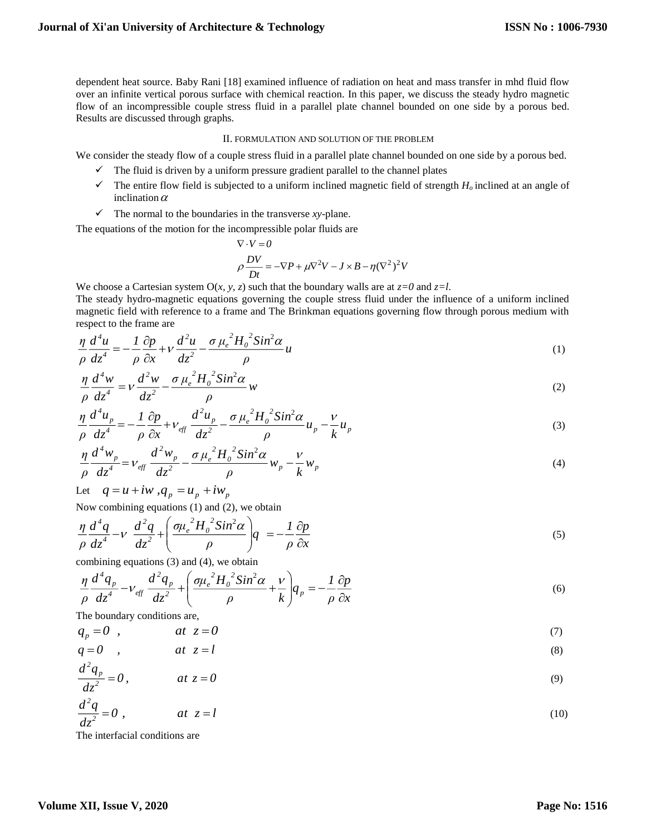dependent heat source. Baby Rani [18] examined influence of radiation on heat and mass transfer in mhd fluid flow over an infinite vertical porous surface with chemical reaction. In this paper, we discuss the steady hydro magnetic flow of an incompressible couple stress fluid in a parallel plate channel bounded on one side by a porous bed. Results are discussed through graphs.

### II. FORMULATION AND SOLUTION OF THE PROBLEM

We consider the steady flow of a couple stress fluid in a parallel plate channel bounded on one side by a porous bed.

- $\checkmark$  The fluid is driven by a uniform pressure gradient parallel to the channel plates
- $\checkmark$  The entire flow field is subjected to a uniform inclined magnetic field of strength  $H_o$  inclined at an angle of inclination  $\alpha$
- $\checkmark$  The normal to the boundaries in the transverse *xy*-plane.

The equations of the motion for the incompressible polar fluids are

$$
\nabla \cdot V = 0
$$
  

$$
\rho \frac{DV}{Dt} = -\nabla P + \mu \nabla^2 V - J \times B - \eta (\nabla^2)^2 V
$$

We choose a Cartesian system  $O(x, y, z)$  such that the boundary walls are at  $z=0$  and  $z=l$ .

The steady hydro-magnetic equations governing the couple stress fluid under the influence of a uniform inclined magnetic field with reference to a frame and The Brinkman equations governing flow through porous medium with respect to the frame are

$$
\frac{\eta}{\rho} \frac{d^4 u}{dz^4} = -\frac{1}{\rho} \frac{\partial p}{\partial x} + v \frac{d^2 u}{dz^2} - \frac{\sigma \mu_e^2 H_0^2 S in^2 \alpha}{\rho} u
$$
\n(1)

$$
\frac{\eta}{\rho} \frac{d^4 w}{dz^4} = v \frac{d^2 w}{dz^2} - \frac{\sigma \mu_e^2 H_0^2 \sin^2 \alpha}{\rho} w
$$
\n(2)

$$
\frac{\eta}{\rho} \frac{d^4 u_p}{dz^4} = -\frac{1}{\rho} \frac{\partial p}{\partial x} + V_{\text{eff}} \frac{d^2 u_p}{dz^2} - \frac{\sigma \mu_e^2 H_0^2 \sin^2 \alpha}{\rho} u_p - \frac{V}{k} u_p \tag{3}
$$

$$
\frac{\eta}{\rho} \frac{d^4 w_p}{dz^4} = V_{\text{eff}} \frac{d^2 w_p}{dz^2} - \frac{\sigma \mu_e^2 H_0^2 \sin^2 \alpha}{\rho} w_p - \frac{V}{k} w_p \tag{4}
$$

Let  $q = u + iw, q_p = u_p + iw_p$ 

Now combining equations (1) and (2), we obtain

$$
\frac{\eta}{\rho} \frac{d^4 q}{dz^4} - \nu \frac{d^2 q}{dz^2} + \left( \frac{\sigma \mu_e^2 H_0^2 S i n^2 \alpha}{\rho} \right) q = -\frac{1}{\rho} \frac{\partial p}{\partial x}
$$
\n(5)

combining equations (3) and (4), we obtain

$$
\frac{\eta}{\rho} \frac{d^4 q_p}{dz^4} - V_{\text{eff}} \frac{d^2 q_p}{dz^2} + \left( \frac{\sigma \mu_e^2 H_0^2 \sin^2 \alpha}{\rho} + \frac{V}{k} \right) q_p = -\frac{I}{\rho} \frac{\partial p}{\partial x}
$$
(6)

The boundary conditions are,

 $q_{p}$  =  $at \ z = 0$  (7)

$$
q = 0 \quad , \qquad at \quad z = l \tag{8}
$$

$$
\frac{d^2q_p}{dz^2} = 0, \qquad at \ z = 0 \tag{9}
$$

$$
\frac{d^2q}{dz^2} = 0 \tag{10}
$$

The interfacial conditions are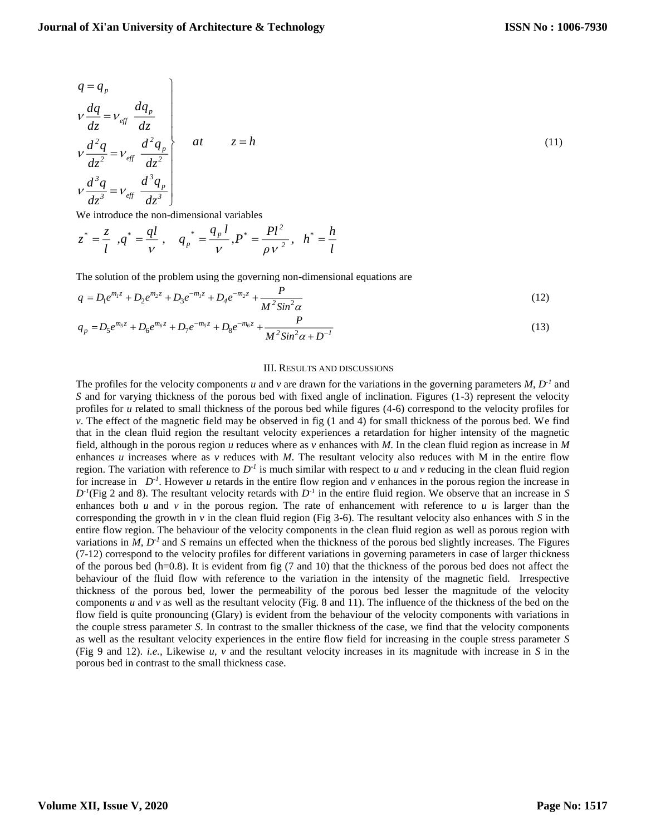$$
q = q_p
$$
  
\n
$$
v \frac{dq}{dz} = v_{eff} \frac{dq_p}{dz}
$$
  
\n
$$
v \frac{d^2q}{dz^2} = v_{eff} \frac{d^2q_p}{dz^2}
$$
  
\n
$$
v \frac{d^3q}{dz^3} = v_{eff} \frac{d^3q_p}{dz^3}
$$
\n(11)

We introduce the non-dimensional variables

$$
z^* = \frac{z}{l}
$$
,  $q^* = \frac{ql}{v}$ ,  $q_p^* = \frac{q_p l}{v}$ ,  $P^* = \frac{Pl^2}{\rho v^2}$ ,  $h^* = \frac{h}{l}$ 

The solution of the problem using the governing non-dimensional equations are

$$
q = D_1 e^{m_1 z} + D_2 e^{m_2 z} + D_3 e^{-m_1 z} + D_4 e^{-m_2 z} + \frac{P}{M^2 \sin^2 \alpha} \tag{12}
$$

$$
q_p = D_5 e^{m_5 z} + D_6 e^{m_6 z} + D_7 e^{-m_5 z} + D_8 e^{-m_6 z} + \frac{P}{M^2 \sin^2 \alpha + D^{-1}}
$$
\n(13)

## III. RESULTS AND DISCUSSIONS

The profiles for the velocity components *u* and *v* are drawn for the variations in the governing parameters  $M$ ,  $D<sup>-1</sup>$  and *S* and for varying thickness of the porous bed with fixed angle of inclination. Figures (1-3) represent the velocity profiles for *u* related to small thickness of the porous bed while figures (4-6) correspond to the velocity profiles for *v*. The effect of the magnetic field may be observed in fig (1 and 4) for small thickness of the porous bed. We find that in the clean fluid region the resultant velocity experiences a retardation for higher intensity of the magnetic field, although in the porous region *u* reduces where as *v* enhances with *M*. In the clean fluid region as increase in *M* enhances  $u$  increases where as  $v$  reduces with  $M$ . The resultant velocity also reduces with  $M$  in the entire flow region. The variation with reference to  $D^{-1}$  is much similar with respect to *u* and *v* reducing in the clean fluid region for increase in  $D<sup>-1</sup>$ . However *u* retards in the entire flow region and *v* enhances in the porous region the increase in  $D^{-1}$ (Fig 2 and 8). The resultant velocity retards with  $D^{-1}$  in the entire fluid region. We observe that an increase in *S* enhances both  $u$  and  $v$  in the porous region. The rate of enhancement with reference to  $u$  is larger than the corresponding the growth in  $v$  in the clean fluid region (Fig 3-6). The resultant velocity also enhances with *S* in the entire flow region. The behaviour of the velocity components in the clean fluid region as well as porous region with variations in *M*,  $D^{-1}$  and *S* remains un effected when the thickness of the porous bed slightly increases. The Figures (7-12) correspond to the velocity profiles for different variations in governing parameters in case of larger thickness of the porous bed (h=0.8). It is evident from fig  $(7 \text{ and } 10)$  that the thickness of the porous bed does not affect the behaviour of the fluid flow with reference to the variation in the intensity of the magnetic field. Irrespective thickness of the porous bed, lower the permeability of the porous bed lesser the magnitude of the velocity components *u* and *v* as well as the resultant velocity (Fig. 8 and 11). The influence of the thickness of the bed on the flow field is quite pronouncing (Glary) is evident from the behaviour of the velocity components with variations in the couple stress parameter *S*. In contrast to the smaller thickness of the case, we find that the velocity components as well as the resultant velocity experiences in the entire flow field for increasing in the couple stress parameter *S* (Fig 9 and 12). *i.e.,* Likewise *u*, *v* and the resultant velocity increases in its magnitude with increase in *S* in the porous bed in contrast to the small thickness case.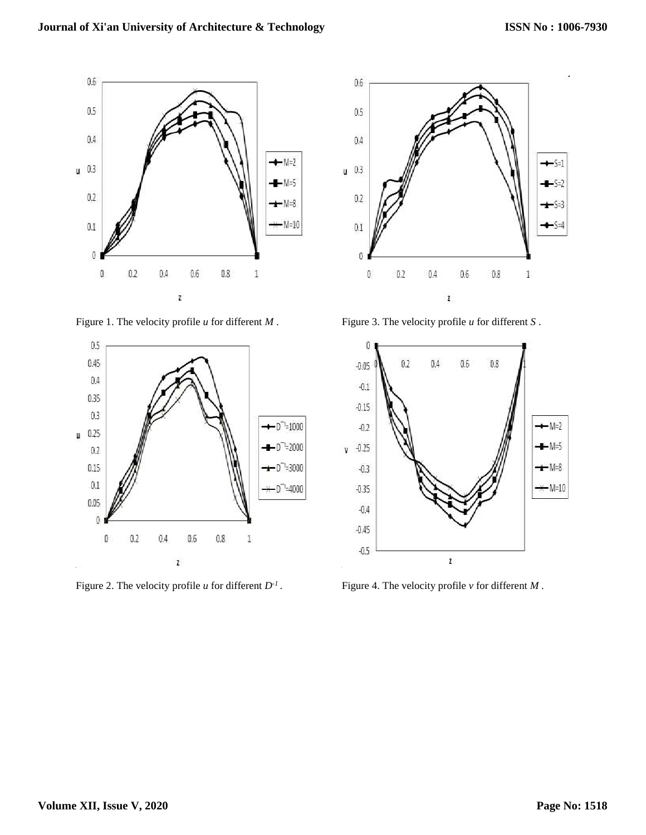

Figure 1. The velocity profile *u* for different *M* .



Figure 2. The velocity profile *u* for different  $D^{-1}$ .



Figure 3. The velocity profile *u* for different *S* .



Figure 4. The velocity profile *v* for different *M* .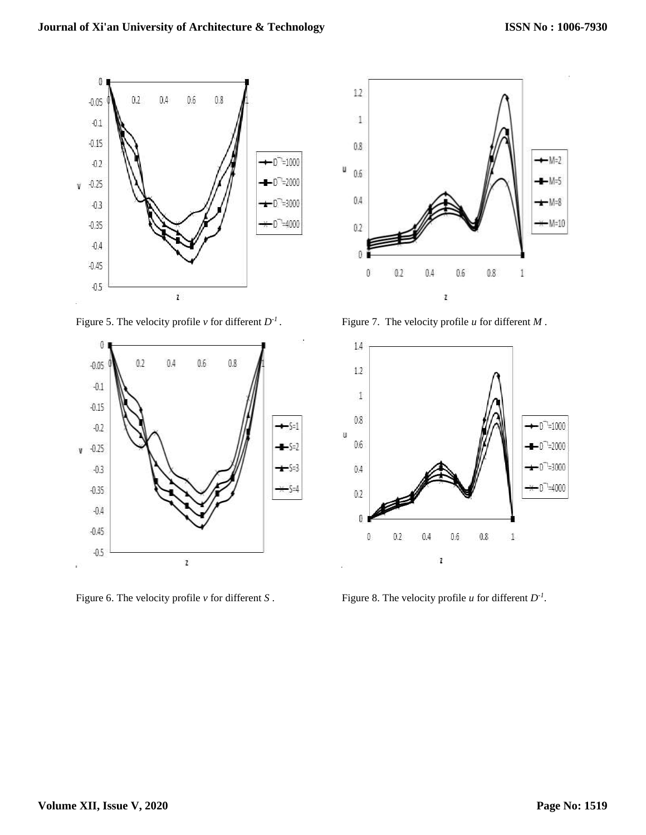

Figure 5. The velocity profile  $\nu$  for different  $D^{-1}$ .



Figure 6. The velocity profile *v* for different *S* .



Figure 7. The velocity profile *u* for different *M* .



Figure 8. The velocity profile *u* for different *D-1* .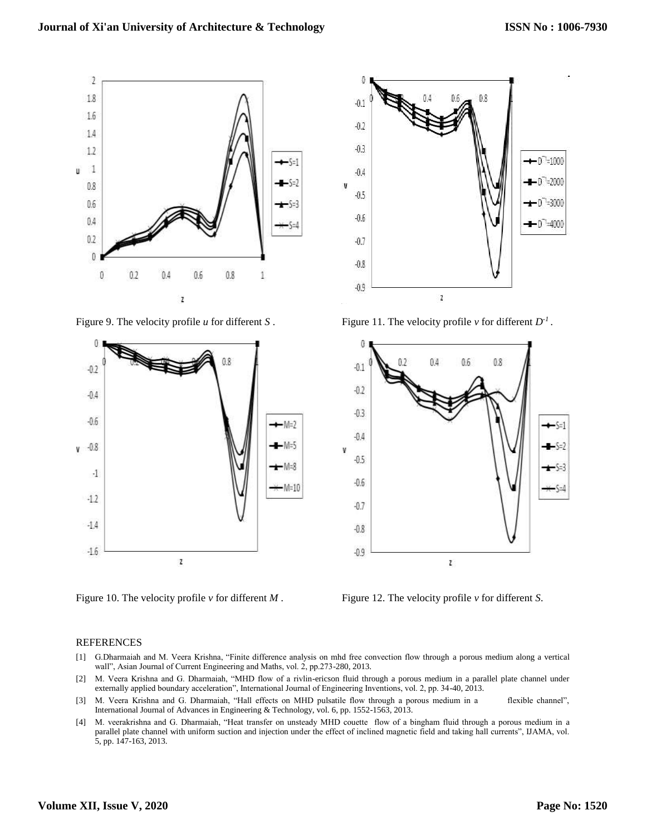

Figure 9. The velocity profile *u* for different *S* .



Figure 10. The velocity profile *v* for different *M* .



Figure 11. The velocity profile  $\nu$  for different  $D^{-1}$ .



Figure 12. The velocity profile *v* for different *S*.

### REFERENCES

- [1] G.Dharmaiah and M. Veera Krishna, "Finite difference analysis on mhd free convection flow through a porous medium along a vertical wall", Asian Journal of Current Engineering and Maths, vol. 2, pp.273-280, 2013.
- [2] M. Veera Krishna and G. Dharmaiah, "MHD flow of a rivlin-ericson fluid through a porous medium in a parallel plate channel under externally applied boundary acceleration", International Journal of Engineering Inventions, vol. 2, pp. 34-40, 2013.
- [3] M. Veera Krishna and G. Dharmaiah, "Hall effects on MHD pulsatile flow through a porous medium in a flexible channel", International Journal of Advances in Engineering & Technology, vol. 6, pp. 1552-1563, 2013.
- [4] M. veerakrishna and G. Dharmaiah, "Heat transfer on unsteady MHD couette flow of a bingham fluid through a porous medium in a parallel plate channel with uniform suction and injection under the effect of inclined magnetic field and taking hall currents", IJAMA, vol. 5, pp. 147-163, 2013.